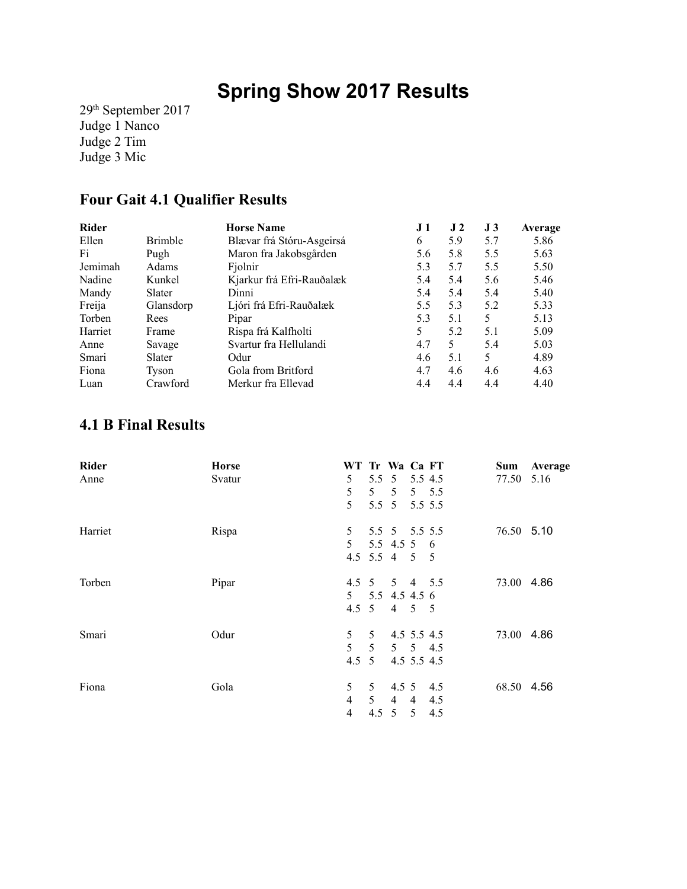# **Spring Show 2017 Results**

29th September 2017 Judge 1 Nanco Judge 2 Tim Judge 3 Mic

#### **Four Gait 4.1 Qualifier Results**

| <b>Rider</b> |                | <b>Horse Name</b>         | J 1 | J <sub>2</sub> | J 3 | Average |
|--------------|----------------|---------------------------|-----|----------------|-----|---------|
| Ellen        | <b>Brimble</b> | Blævar frá Stóru-Asgeirsá | 6   | 5.9            | 5.7 | 5.86    |
| Fi           | Pugh           | Maron fra Jakobsgården    | 5.6 | 5.8            | 5.5 | 5.63    |
| Jemimah      | Adams          | Fiolnir                   | 5.3 | 5.7            | 5.5 | 5.50    |
| Nadine       | Kunkel         | Kjarkur frá Efri-Rauðalæk | 5.4 | 5.4            | 5.6 | 5.46    |
| Mandy        | Slater         | Dinni                     | 5.4 | 5.4            | 5.4 | 5.40    |
| Freija       | Glansdorp      | Ljóri frá Efri-Rauðalæk   | 5.5 | 5.3            | 5.2 | 5.33    |
| Torben       | Rees           | Pipar                     | 5.3 | 5.1            | 5   | 5.13    |
| Harriet      | Frame          | Rispa frá Kalfholti       | 5   | 5.2            | 5.1 | 5.09    |
| Anne         | Savage         | Svartur fra Hellulandi    | 4.7 | 5              | 5.4 | 5.03    |
| Smari        | Slater         | Odur                      | 4.6 | 5.1            | 5   | 4.89    |
| Fiona        | Tyson          | Gola from Britford        | 4.7 | 4.6            | 4.6 | 4.63    |
| Luan         | Crawford       | Merkur fra Ellevad        | 4.4 | 4.4            | 4.4 | 4.40    |

#### **4.1 B Final Results**

| Rider   | <b>Horse</b> | WT Tr Wa Ca FT |                 |                      |                |     | Sum        | Average |
|---------|--------------|----------------|-----------------|----------------------|----------------|-----|------------|---------|
| Anne    | Svatur       | 5              |                 | 5.5 5 5.5 4.5        |                |     | 77.50 5.16 |         |
|         |              | 5              |                 | $5 \t 5 \t 5 \t 5.5$ |                |     |            |         |
|         |              | 5              |                 | 5.5 5 5.5 5.5        |                |     |            |         |
| Harriet | Rispa        | 5              | 5.5 5 5.5 5.5   |                      |                |     | 76.50 5.10 |         |
|         |              | 5 <sup>1</sup> |                 | 5.5 4.5 5 6          |                |     |            |         |
|         |              |                | 4.5 5.5 4 5 5   |                      |                |     |            |         |
| Torben  | Pipar        |                | 4.5 5 5 4 5.5   |                      |                |     | 73.00 4.86 |         |
|         |              |                | 5 5.5 4.5 4.5 6 |                      |                |     |            |         |
|         |              |                | 4.5 5 4 5 5     |                      |                |     |            |         |
| Smari   | Odur         | 5 <sup>1</sup> | 5 <sup>5</sup>  | 4.5 5.5 4.5          |                |     | 73.00 4.86 |         |
|         |              | $5^{\circ}$    | 5 <sup>5</sup>  |                      | 5 5 4.5        |     |            |         |
|         |              | $4.5 \t5$      |                 | 4.5 5.5 4.5          |                |     |            |         |
| Fiona   | Gola         | 5              | 5 <sup>5</sup>  | 4.5 5 4.5            |                |     | 68.50 4.56 |         |
|         |              | $\overline{4}$ | 5 <sup>7</sup>  | $\overline{4}$       | $4 \quad 4.5$  |     |            |         |
|         |              | $\overline{4}$ | $4.5 \t5$       |                      | 5 <sup>5</sup> | 4.5 |            |         |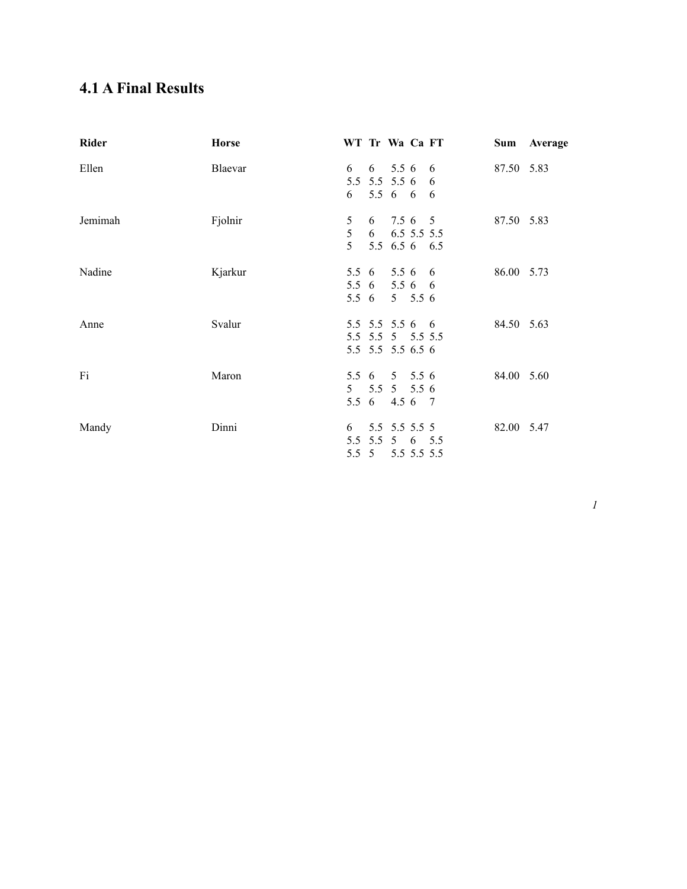### **4.1 A Final Results**

| Rider   | <b>Horse</b> | WT Tr Wa Ca FT                 |                                                       |                        |   |            | Sum Average |
|---------|--------------|--------------------------------|-------------------------------------------------------|------------------------|---|------------|-------------|
| Ellen   | Blaevar      | 6<br>5.5 5.5 5.5 6<br>6        | 5.5 6 6 6                                             | $6\quad 5.5\ 6\quad 6$ | 6 | 87.50 5.83 |             |
| Jemimah | Fjolnir      | 5<br>5<br>5 <sup>1</sup>       | 6 7.5 6 5<br>$6$ $6.5$ 5.5 5.5<br>5.5 6.5 6 6.5       |                        |   | 87.50 5.83 |             |
| Nadine  | Kjarkur      | 5.5 6 5.5 6 6<br>5.5 6 5.5 6 6 | 5.5 6                                                 | $5 \t 5.5 \t 6$        |   | 86.00 5.73 |             |
| Anne    | Svalur       | 5.5 5.5 5.5 6 6                | 5.5 5.5 5 5.5 5.5<br>5.5 5.5 5.5 6.5 6                |                        |   | 84.50 5.63 |             |
| Fi      | Maron        | 5.5 6 5 5.5 6                  | $5$ $5.5$ $5$ $5.5$ 6<br>5.5 6 4.5 6 7                |                        |   | 84.00 5.60 |             |
| Mandy   | Dinni        | 6                              | 5.5 5.5 5.5 5<br>5.5 5.5 5 6 5.5<br>5.5 5 5.5 5.5 5.5 |                        |   | 82.00 5.47 |             |

*1*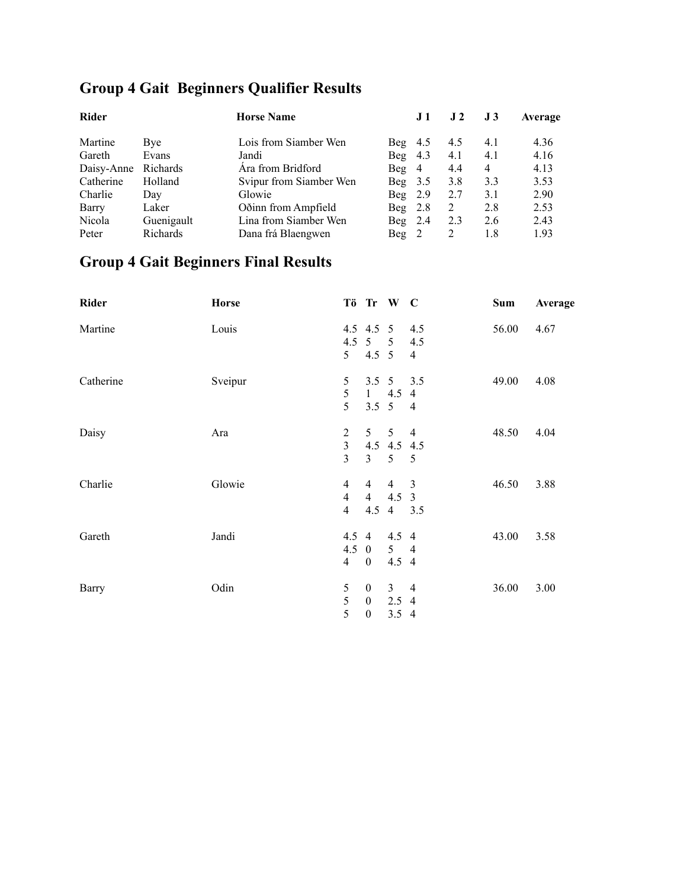# **Group 4 Gait Beginners Qualifier Results**

|            | <b>Horse Name</b>       | J 1                  | J <sub>2</sub> | J <sub>3</sub> | Average |
|------------|-------------------------|----------------------|----------------|----------------|---------|
| Bye        | Lois from Siamber Wen   | Beg $4.5$            | 4.5            | 4.1            | 4.36    |
| Evans      | Jandi                   | 4.3<br>Beg           | 4.1            | 4.1            | 4.16    |
| Richards   | Ara from Bridford       | Beg 4                | 4.4            | 4              | 4.13    |
| Holland    | Svipur from Siamber Wen | 3.5<br>Beg           | 3.8            | 3.3            | 3.53    |
| Day        | Glowie                  | 2.9<br>Beg           | 2.7            | 3.1            | 2.90    |
| Laker      | Oðinn from Ampfield     | 2.8<br>Beg           | 2              | 2.8            | 2.53    |
| Guenigault | Lina from Siamber Wen   | Beg $2.4$            | 2.3            | 2.6            | 2.43    |
| Richards   | Dana frá Blaengwen      | $\text{Beg} \quad 2$ | 2              | 1.8            | 1.93    |
|            |                         |                      |                |                |         |

# **Group 4 Gait Beginners Final Results**

| Rider        | <b>Horse</b> |                |                  | Tö Tr W C             |                | Sum   | Average |
|--------------|--------------|----------------|------------------|-----------------------|----------------|-------|---------|
| Martine      | Louis        |                | 4.5 4.5 5        |                       | 4.5            | 56.00 | 4.67    |
|              |              | 4.5            | 5 <sup>5</sup>   | $\overline{5}$        | 4.5            |       |         |
|              |              | 5 <sup>5</sup> | $4.5 \quad 5$    |                       | $\overline{4}$ |       |         |
| Catherine    | Sveipur      | 5              |                  | $3.5 \quad 5$         | 3.5            | 49.00 | 4.08    |
|              |              | 5              | 1                | 4.5                   | $\overline{4}$ |       |         |
|              |              | 5              |                  | $3.5 \quad 5 \quad 4$ |                |       |         |
| Daisy        | Ara          | $\overline{c}$ | 5 <sup>5</sup>   | 5 <sup>7</sup>        | $\overline{4}$ | 48.50 | 4.04    |
|              |              | $\overline{3}$ |                  | 4.5 4.5 4.5           |                |       |         |
|              |              | $\overline{3}$ | $\mathbf{3}$     | 5 <sup>5</sup>        | $\overline{5}$ |       |         |
| Charlie      | Glowie       | $\overline{4}$ | $\overline{4}$   | $\overline{4}$        | $\overline{3}$ | 46.50 | 3.88    |
|              |              | $\overline{4}$ | $\overline{4}$   | $4.5 \quad 3$         |                |       |         |
|              |              | $\overline{4}$ | 4.5              | $4\quad 3.5$          |                |       |         |
| Gareth       | Jandi        | 4.5            | $\overline{4}$   | 4.5 4                 |                | 43.00 | 3.58    |
|              |              |                | $4.5 \quad 0$    | $5\quad 4$            |                |       |         |
|              |              | $\overline{4}$ | $\overline{0}$   | 4.5 4                 |                |       |         |
| <b>Barry</b> | Odin         | 5              | $\mathbf{0}$     | 3 <sup>7</sup>        | $\overline{4}$ | 36.00 | 3.00    |
|              |              | 5              | $\boldsymbol{0}$ | $2.5$ 4               |                |       |         |
|              |              | 5              | $\boldsymbol{0}$ | $3.5 \quad 4$         |                |       |         |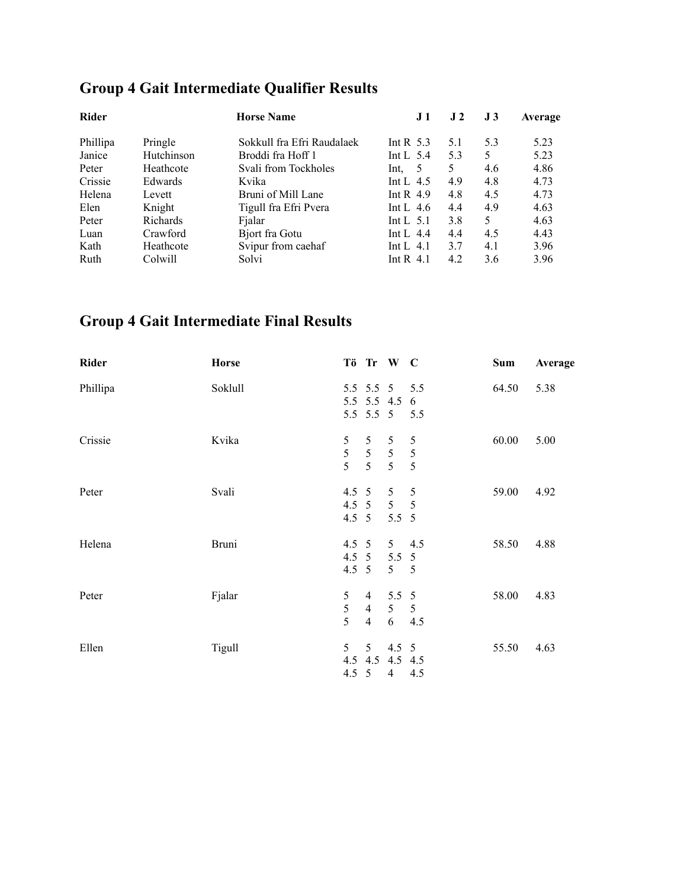### **Group 4 Gait Intermediate Qualifier Results**

| <b>Rider</b> |            | <b>Horse Name</b>          | J <sub>1</sub> | J <sub>2</sub> | J3  | Average |
|--------------|------------|----------------------------|----------------|----------------|-----|---------|
| Phillipa     | Pringle    | Sokkull fra Efri Raudalaek | Int R $5.3$    | 5.1            | 5.3 | 5.23    |
| Janice       | Hutchinson | Broddi fra Hoff 1          | Int L $5.4$    | 5.3            | 5   | 5.23    |
| Peter        | Heathcote  | Svali from Tockholes       | -5<br>Int.     | 5.             | 4.6 | 4.86    |
| Crissie      | Edwards    | Kvika                      | Int L $4.5$    | 4.9            | 4.8 | 4.73    |
| Helena       | Levett     | Bruni of Mill Lane         | Int R $4.9$    | 4.8            | 4.5 | 4.73    |
| Elen         | Knight     | Tigull fra Efri Pvera      | Int L $4.6$    | 4.4            | 4.9 | 4.63    |
| Peter        | Richards   | Fjalar                     | Int L $5.1$    | 3.8            | 5   | 4.63    |
| Luan         | Crawford   | Bjort fra Gotu             | Int L $4.4$    | 4.4            | 4.5 | 4.43    |
| Kath         | Heathcote  | Svipur from caehaf         | Int L $4.1$    | 3.7            | 4.1 | 3.96    |
| Ruth         | Colwill    | Solvi                      | Int R $4.1$    | 4.2            | 3.6 | 3.96    |

### **Group 4 Gait Intermediate Final Results**

| <b>Horse</b> |                |                     |                                                                        |                                             | Sum                                                                                                                                                                                                                                           | Average |
|--------------|----------------|---------------------|------------------------------------------------------------------------|---------------------------------------------|-----------------------------------------------------------------------------------------------------------------------------------------------------------------------------------------------------------------------------------------------|---------|
| Soklull      |                |                     |                                                                        |                                             | 64.50                                                                                                                                                                                                                                         | 5.38    |
|              |                |                     |                                                                        |                                             |                                                                                                                                                                                                                                               |         |
| Kvika        | 5              | 5                   | 5                                                                      | 5                                           | 60.00                                                                                                                                                                                                                                         | 5.00    |
|              | $\overline{5}$ | 5 <sup>5</sup>      |                                                                        |                                             |                                                                                                                                                                                                                                               |         |
| Svali        |                |                     | 5                                                                      | 5                                           | 59.00                                                                                                                                                                                                                                         | 4.92    |
|              |                |                     |                                                                        |                                             |                                                                                                                                                                                                                                               |         |
| <b>Bruni</b> |                |                     |                                                                        |                                             | 58.50                                                                                                                                                                                                                                         | 4.88    |
|              |                |                     |                                                                        |                                             |                                                                                                                                                                                                                                               |         |
| Fjalar       | 5              | $\overline{4}$      |                                                                        |                                             | 58.00                                                                                                                                                                                                                                         | 4.83    |
|              | 5              | $\overline{4}$      |                                                                        | 5                                           |                                                                                                                                                                                                                                               |         |
|              | 5              | 5 <sup>5</sup>      |                                                                        |                                             | 55.50                                                                                                                                                                                                                                         | 4.63    |
|              |                |                     |                                                                        |                                             |                                                                                                                                                                                                                                               |         |
|              | Tigull         | $\overline{5}$<br>5 | $4.5 \t5$<br>$4.5 \t5$<br>$4.5 \quad 5$<br>$\overline{4}$<br>$4.5 \t5$ | 5 <sup>5</sup><br>4.5 $5$<br>$\overline{4}$ | Tö Tr W C<br>5.5 5.5 5 5.5<br>5.5 5.5 4.5 6<br>5.5 5.5 5 5.5<br>$5\quad 5$<br>$5\quad 5$<br>4.5 5 5 5<br>$5.5\ 5$<br>$5 \t 4.5$<br>4.5 5 5.5 5<br>$5\quad 5$<br>$5.5\ 5$<br>5 <sup>5</sup><br>64.5<br>$4.5 \quad 5$<br>4.5 4.5 4.5 4.5<br>4.5 |         |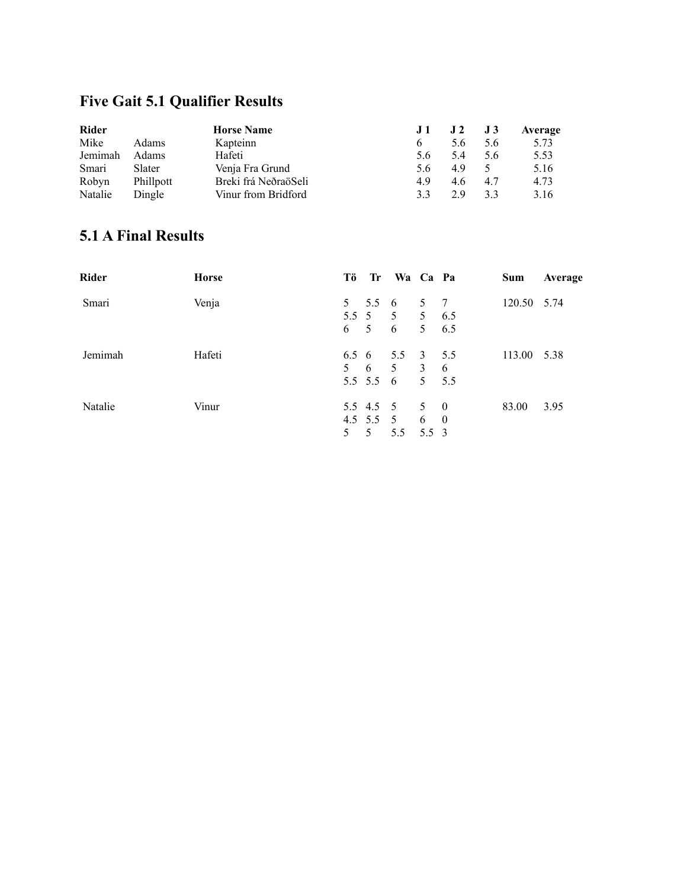### **Five Gait 5.1 Qualifier Results**

| <b>Rider</b> |              | <b>Horse Name</b>    | .I 1 | $\bf J$ 2 | J3  | Average |
|--------------|--------------|----------------------|------|-----------|-----|---------|
| Mike         | <b>Adams</b> | Kapteinn             | h    | 5.6       | 5.6 | 5.73    |
| Jemimah      | Adams        | Hafeti               | 5.6  | 54        | 5.6 | 5.53    |
| Smari        | Slater       | Venja Fra Grund      | 5.6  | 49        |     | 5.16    |
| Robyn        | Phillpott    | Breki frá NeðraöSeli | 49   | 4.6       | 4.7 | 4.73    |
| Natalie      | Dingle       | Vinur from Bridford  | 33   | 29        | 33  | 3.16    |

#### **5.1 A Final Results**

| <b>Rider</b> | <b>Horse</b> | Tö          |   | Tr Wa Ca Pa                     |            | Sum         | Average |
|--------------|--------------|-------------|---|---------------------------------|------------|-------------|---------|
| Smari        | Venja        |             |   | 5 5.5 6 5 7                     |            | 120.50 5.74 |         |
|              |              |             |   | 5.5 5 5 5 6.5                   |            |             |         |
|              |              |             |   | 6 5 6                           | $5 \t 6.5$ |             |         |
| Jemimah      | Hafeti       |             |   | $6.5 \t6 \t5.5 \t3 \t5.5$       |            | 113.00 5.38 |         |
|              |              |             |   | $5\quad 6\quad 5\quad 3\quad 6$ |            |             |         |
|              |              |             |   | 5.5 5.5 6                       | $5 \t 5.5$ |             |         |
| Natalie      | Vinur        |             |   | 5.5 4.5 5 5 0                   |            | 83.00       | 3.95    |
|              |              |             |   | 4.5 $5.5$ 5                     | 6 0        |             |         |
|              |              | $5^{\circ}$ | 5 | 5.5 5.5 3                       |            |             |         |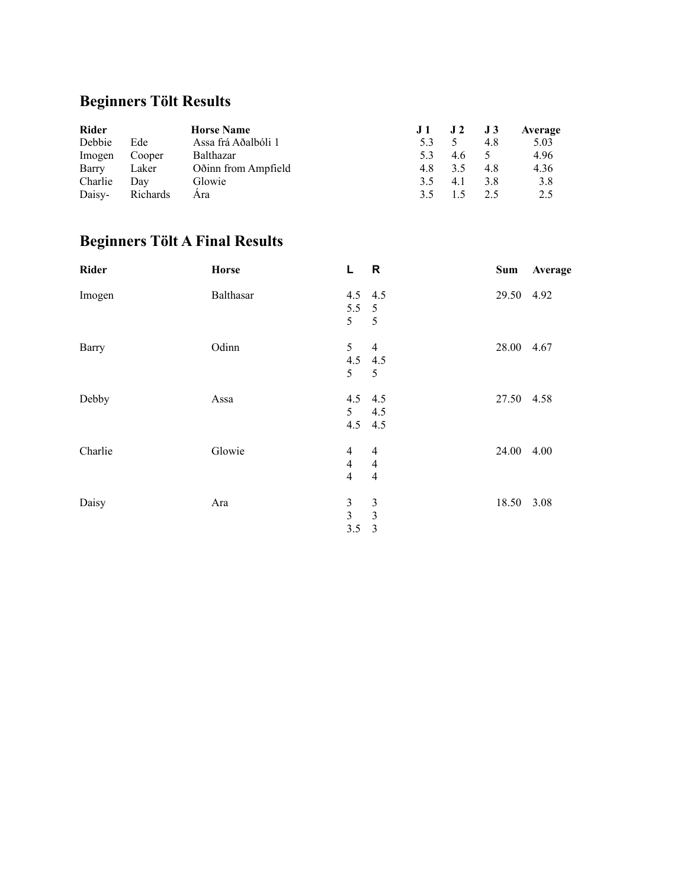# **Beginners Tölt Results**

| <b>Rider</b> |          | <b>Horse Name</b>   | J1  | $J2$ $J3$ |     | Average |
|--------------|----------|---------------------|-----|-----------|-----|---------|
| Debbie       | Ede      | Assa frá Aðalbóli 1 |     |           | 4.8 | 5.03    |
| Imogen       | Cooper   | Balthazar           |     | 4.6       |     | 4.96    |
| Barry        | Laker    | Oðinn from Ampfield | 4.8 | 3.5       | 4.8 | 4.36    |
| Charlie      | Dav      | Glowie              | 3.5 | 4.1       | 3.8 | 3.8     |
| Daisy-       | Richards | Ara                 | 35  |           | 2.5 | 2.5     |

# **Beginners Tölt A Final Results**

| <b>Rider</b> | <b>Horse</b> | L.                                                 | $\overline{\mathbf{R}}$                            | Sum        | Average |
|--------------|--------------|----------------------------------------------------|----------------------------------------------------|------------|---------|
| Imogen       | Balthasar    | $4.5$ $4.5$<br>$5.5\ 5$<br>5                       | $\overline{5}$                                     | 29.50 4.92 |         |
| Barry        | Odinn        | 5 <sup>5</sup><br>4.5 4.5<br>5 <sup>1</sup>        | $\overline{4}$<br>5                                | 28.00 4.67 |         |
| Debby        | Assa         | $4.5$ $4.5$<br>5 <sup>5</sup><br>4.5 4.5           | 4.5                                                | 27.50 4.58 |         |
| Charlie      | Glowie       | $\overline{4}$<br>$\overline{4}$<br>$\overline{4}$ | $\overline{4}$<br>$\overline{4}$<br>$\overline{4}$ | 24.00 4.00 |         |
| Daisy        | Ara          | $\mathfrak{Z}$<br>$\overline{3}$<br>3.5            | $\mathfrak{Z}$<br>$\mathfrak{Z}$<br>$\overline{3}$ | 18.50 3.08 |         |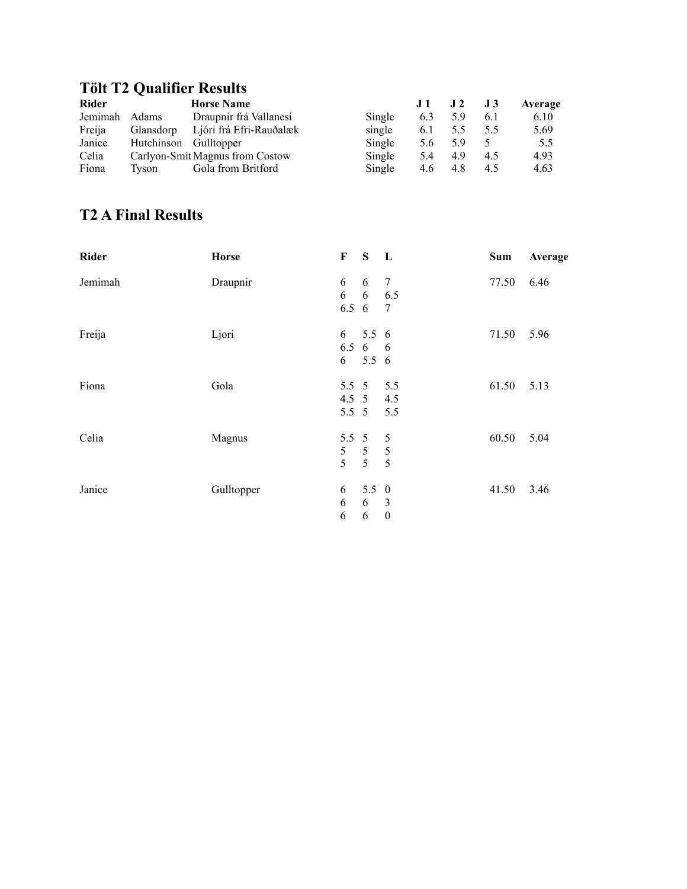#### **Tölt T2 Qualifier Results**

| <b>Rider</b> |                       | <b>Horse Name</b>               |        | J 1 | J <sub>2</sub> | J 3 | Average |
|--------------|-----------------------|---------------------------------|--------|-----|----------------|-----|---------|
| Jemimah      | <b>Adams</b>          | Draupnir frá Vallanesi          | Single | 6.3 | 5.9            | 6.1 | 6.10    |
| Freija       | Glansdorp             | Ljóri frá Efri-Rauðalæk         | single | 6.1 | 5.5            | 5.5 | 5.69    |
| Janice       | Hutchinson Gulltopper |                                 | Single | 5.6 | 5.9            |     | 5.5     |
| Celia        |                       | Carlyon-Smit Magnus from Costow | Single | 5.4 | 4.9            | 4.5 | 4.93    |
| Fiona        | Tyson                 | Gola from Britford              | Single | 4.6 | 4.8            | 4.5 | 4.63    |

#### **T2 A Final Results**

| <b>Rider</b> | <b>Horse</b> | $\mathbf F$    | S              | L                | Sum   | Average |
|--------------|--------------|----------------|----------------|------------------|-------|---------|
| Jemimah      | Draupnir     | 6              | 6              | 7                | 77.50 | 6.46    |
|              |              | 6              | 6              | 6.5              |       |         |
|              |              | $6.5\;6$       |                | 7                |       |         |
| Freija       | Ljori        | 6              | 5.56           |                  | 71.50 | 5.96    |
|              |              |                | 6.5 6 6        |                  |       |         |
|              |              | 6              | $5.5\;6$       |                  |       |         |
| Fiona        | Gola         | $5.5 \quad 5$  |                | 5.5              | 61.50 | 5.13    |
|              |              | $4.5 \t5$      |                | 4.5              |       |         |
|              |              | $5.5\ 5$       |                | 5.5              |       |         |
| Celia        | Magnus       | $5.5\ 5$       |                | 5                | 60.50 | 5.04    |
|              |              | 5 <sup>5</sup> | 5 <sup>5</sup> | $\overline{5}$   |       |         |
|              |              | 5              | 5 <sup>5</sup> | 5                |       |         |
| Janice       | Gulltopper   | 6              | $5.5 \t0$      |                  | 41.50 | 3.46    |
|              |              | 6              | 6              | $\overline{3}$   |       |         |
|              |              | 6              | 6              | $\boldsymbol{0}$ |       |         |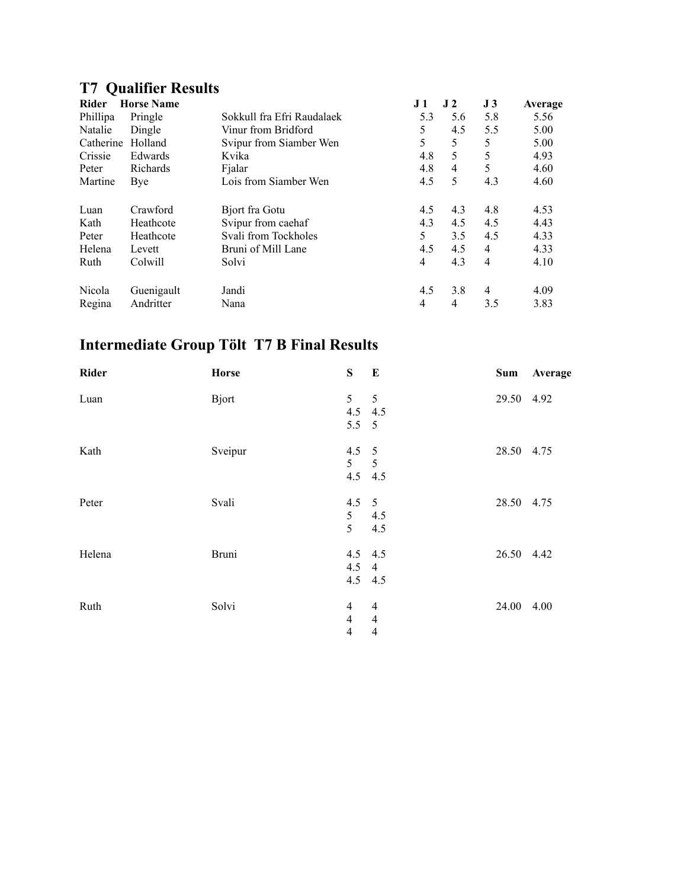# **T7 Qualifier Results**

| Rider     | <b>Horse Name</b> |                            | J 1 | J <sub>2</sub> | J <sub>3</sub> | Average |
|-----------|-------------------|----------------------------|-----|----------------|----------------|---------|
| Phillipa  | Pringle           | Sokkull fra Efri Raudalaek | 5.3 | 5.6            | 5.8            | 5.56    |
| Natalie   | Dingle            | Vinur from Bridford        | 5   | 4.5            | 5.5            | 5.00    |
| Catherine | Holland           | Svipur from Siamber Wen    | 5   | 5              | 5              | 5.00    |
| Crissie   | Edwards           | Kvika                      | 4.8 | 5              | 5              | 4.93    |
| Peter     | Richards          | Fjalar                     | 4.8 | $\overline{4}$ | 5              | 4.60    |
| Martine   | Bye               | Lois from Siamber Wen      | 4.5 | 5              | 4.3            | 4.60    |
| Luan      | Crawford          | Bjort fra Gotu             | 4.5 | 4.3            | 4.8            | 4.53    |
| Kath      | Heathcote         | Svipur from caehaf         | 4.3 | 4.5            | 4.5            | 4.43    |
| Peter     | Heathcote         | Svali from Tockholes       | 5   | 3.5            | 4.5            | 4.33    |
| Helena    | Levett            | Bruni of Mill Lane         | 4.5 | 4.5            | 4              | 4.33    |
| Ruth      | Colwill           | Solvi                      | 4   | 4.3            | $\overline{4}$ | 4.10    |
| Nicola    | Guenigault        | Jandi                      | 4.5 | 3.8            | 4              | 4.09    |
| Regina    | Andritter         | Nana                       | 4   | 4              | 3.5            | 3.83    |

# **Intermediate Group Tölt T7 B Final Results**

| Rider  | Horse         | S                                                  | $\mathbf{E}$                                       | Sum        | Average |
|--------|---------------|----------------------------------------------------|----------------------------------------------------|------------|---------|
| Luan   | <b>B</b> jort | 5 <sup>5</sup><br>4.5 4.5<br>$5.5 \t 5$            | $\overline{5}$                                     | 29.50 4.92 |         |
| Kath   | Sveipur       | $4.5 \quad 5$<br>$5\qquad 5$<br>4.5 4.5            |                                                    | 28.50 4.75 |         |
| Peter  | Svali         | $4.5 \quad 5$<br>5 <sup>5</sup><br>5               | 4.5<br>4.5                                         | 28.50 4.75 |         |
| Helena | <b>Bruni</b>  | 4.5 4.5<br>$4.5 \quad 4$<br>4.5 4.5                |                                                    | 26.50 4.42 |         |
| Ruth   | Solvi         | $\overline{4}$<br>$\overline{4}$<br>$\overline{4}$ | $\overline{4}$<br>$\overline{4}$<br>$\overline{4}$ | 24.00 4.00 |         |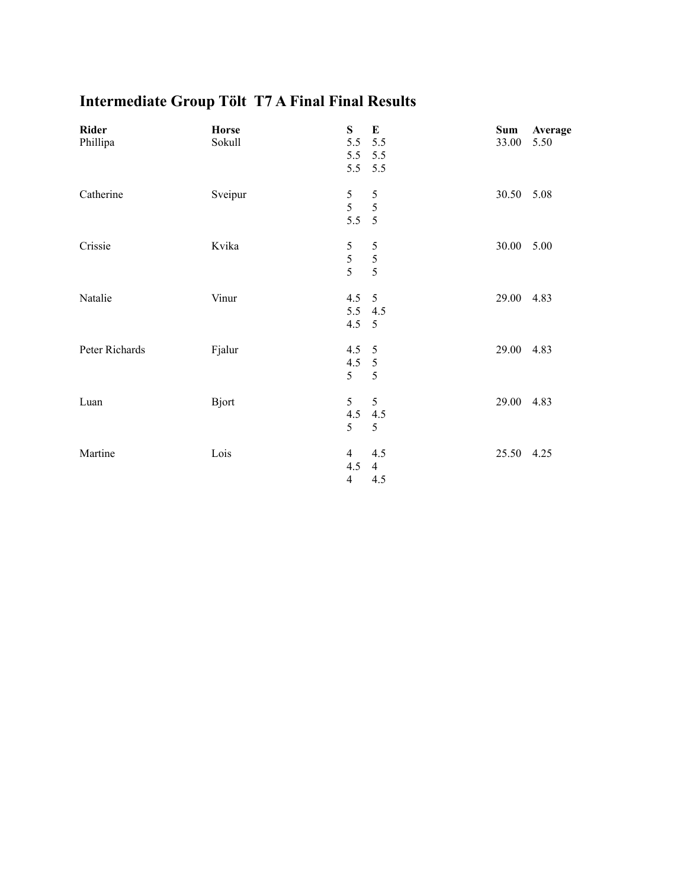| <b>Intermediate Group Tölt T7 A Final Final Results</b> |  |  |
|---------------------------------------------------------|--|--|
|                                                         |  |  |

| Rider<br>Phillipa | <b>Horse</b><br>Sokull | S<br>5.5 5.5<br>5.5 5.5<br>5.5 5.5      | $\bf{E}$                     | Sum<br>33.00 | Average<br>5.50 |
|-------------------|------------------------|-----------------------------------------|------------------------------|--------------|-----------------|
| Catherine         | Sveipur                | $\mathfrak s$<br>5<br>5.5               | 5<br>5<br>$5\overline{5}$    | 30.50 5.08   |                 |
| Crissie           | Kvika                  | 5<br>$rac{5}{5}$                        | 5<br>5<br>5                  | 30.00        | 5.00            |
| Natalie           | Vinur                  | 4.5<br>5.5 4.5<br>$4.5 \quad 5$         | 5                            | 29.00        | 4.83            |
| Peter Richards    | Fjalur                 | $4.5 - 5$<br>$4.5 - 5$<br>5             | $\mathfrak s$                | 29.00 4.83   |                 |
| Luan              | <b>Bjort</b>           | 5<br>4.5<br>5                           | 5<br>4.5<br>5                | 29.00        | 4.83            |
| Martine           | Lois                   | $\overline{4}$<br>4.5<br>$\overline{4}$ | 4.5<br>$\overline{4}$<br>4.5 | 25.50 4.25   |                 |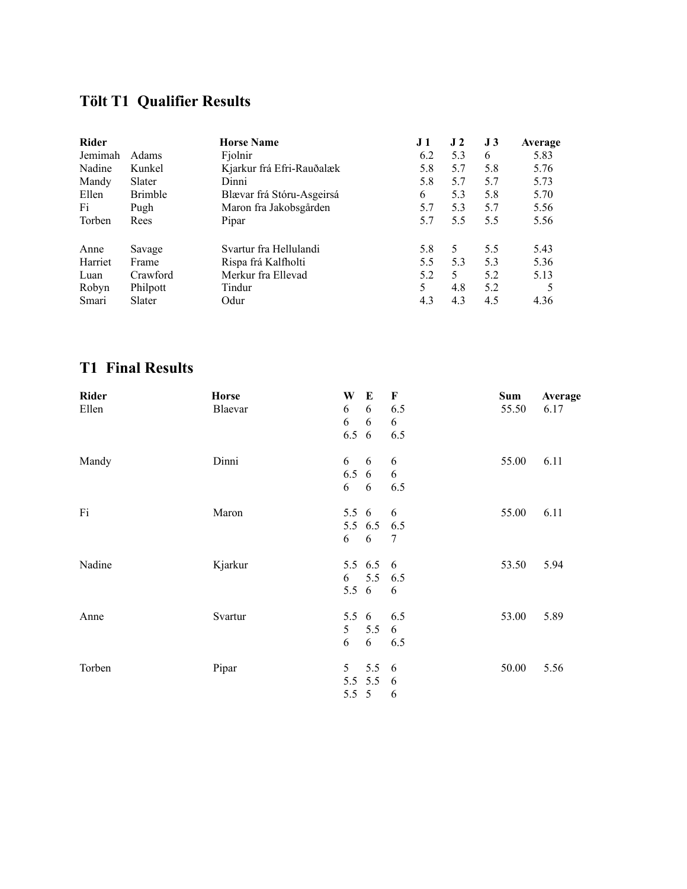### **Tölt T1 Qualifier Results**

| <b>Rider</b> |                | <b>Horse Name</b>         | J 1 | J <sub>2</sub> | J <sub>3</sub> | Average |
|--------------|----------------|---------------------------|-----|----------------|----------------|---------|
| Jemimah      | Adams          | Fjolnir                   | 6.2 | 5.3            | 6              | 5.83    |
| Nadine       | Kunkel         | Kjarkur frá Efri-Rauðalæk | 5.8 | 5.7            | 5.8            | 5.76    |
| Mandy        | Slater         | Dinni                     | 5.8 | 5.7            | 5.7            | 5.73    |
| Ellen        | <b>Brimble</b> | Blævar frá Stóru-Asgeirsá | 6   | 5.3            | 5.8            | 5.70    |
| Fi           | Pugh           | Maron fra Jakobsgården    | 5.7 | 5.3            | 5.7            | 5.56    |
| Torben       | Rees           | Pipar                     | 5.7 | 5.5            | 5.5            | 5.56    |
| Anne         | Savage         | Svartur fra Hellulandi    | 5.8 | 5              | 5.5            | 5.43    |
| Harriet      | Frame          | Rispa frá Kalfholti       | 5.5 | 5.3            | 5.3            | 5.36    |
| Luan         | Crawford       | Merkur fra Ellevad        | 5.2 | 5              | 5.2            | 5.13    |
| Robyn        | Philpott       | Tindur                    | 5   | 4.8            | 5.2            | 5       |
| Smari        | Slater         | Odur                      | 4.3 | 4.3            | 4.5            | 4.36    |

#### **T1 Final Results**

| <b>Rider</b> | <b>Horse</b> | W              | E            | F   | Sum   | Average |
|--------------|--------------|----------------|--------------|-----|-------|---------|
| Ellen        | Blaevar      | 6              | 6            | 6.5 | 55.50 | 6.17    |
|              |              | 6              | 6            | 6   |       |         |
|              |              | 6.5            | 6            | 6.5 |       |         |
| Mandy        | Dinni        | 6              | 6            | 6   | 55.00 | 6.11    |
|              |              | 6.5            | 6            | 6   |       |         |
|              |              | 6              | 6            | 6.5 |       |         |
| Fi           | Maron        | $5.5\;6$       |              | 6   | 55.00 | 6.11    |
|              |              |                | 5.5 6.5 6.5  |     |       |         |
|              |              | 6              | 6            | 7   |       |         |
| Nadine       | Kjarkur      |                | 5.5 6.5 6    |     | 53.50 | 5.94    |
|              |              | 6              | 5.5 6.5      |     |       |         |
|              |              | $5.5\;6$       |              | 6   |       |         |
| Anne         | Svartur      | 5.5 $6$        |              | 6.5 | 53.00 | 5.89    |
|              |              | 5 <sup>5</sup> | 5.5          | 6   |       |         |
|              |              | 6              | 6            | 6.5 |       |         |
| Torben       | Pipar        | 5              | $5.5\quad 6$ |     | 50.00 | 5.56    |
|              |              |                | $5.5 \t5.5$  | - 6 |       |         |
|              |              | $5.5\ 5$       |              | 6   |       |         |